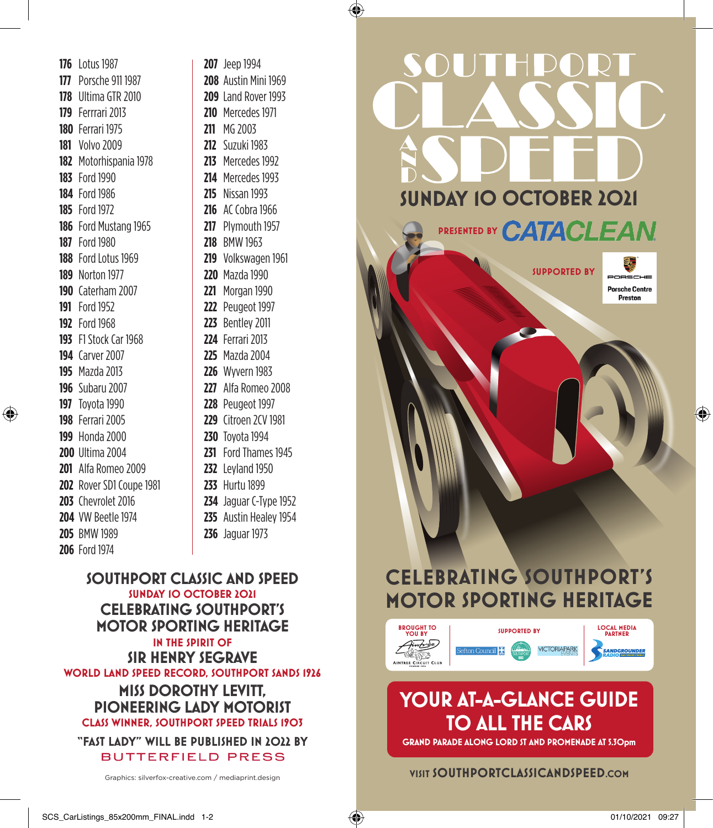⊕

 $\bigcirc$ 

**SOUTHPORT CLASSIC AND SPEED SUNDAY 10 OCTOBER 2021 CELEBRATING SOUTHPORT'S MOTOR SPORTING HERITAGE IN THE SPIRIT OF SIR HENRY SEGRAVE WORLD LAND SPEED RECORD, SOUTHPORT SANDS 1926 MISS DOROTHY LEVITT, PIONEERING LADY MOTORIST CLASS WINNER, SOUTHPORT SPEED TRIALS 1903**

**"FAST LADY" WILL BE PUBLISHED IN 2022 BY BUTTERFIELD PRESS** 

Graphics: silverfox-creative.com / mediaprint.design



**SUNDAY 10 OCTOBER 2021**

SOUTHDORT

PRESENTED BY **CATACLEAN** 

**SUPPORTED BY**

**Porsche Centre** 

⊕

## **CELEBRATING SOUTHPORT'S MOTOR SPORTING HERITAGE**



## **YOUR AT-A-GLANCE GUIDE TO ALL THE CARS**

**GRAND PARADE ALONG LORD ST AND PROMENADE AT 5.30pm**

## **VISIT SOUTHPORTCLASSICANDSPEED.COM**

## SCS\_CarListings\_85x200mm\_FINAL.indd 1-2 01/10/2021 09:27